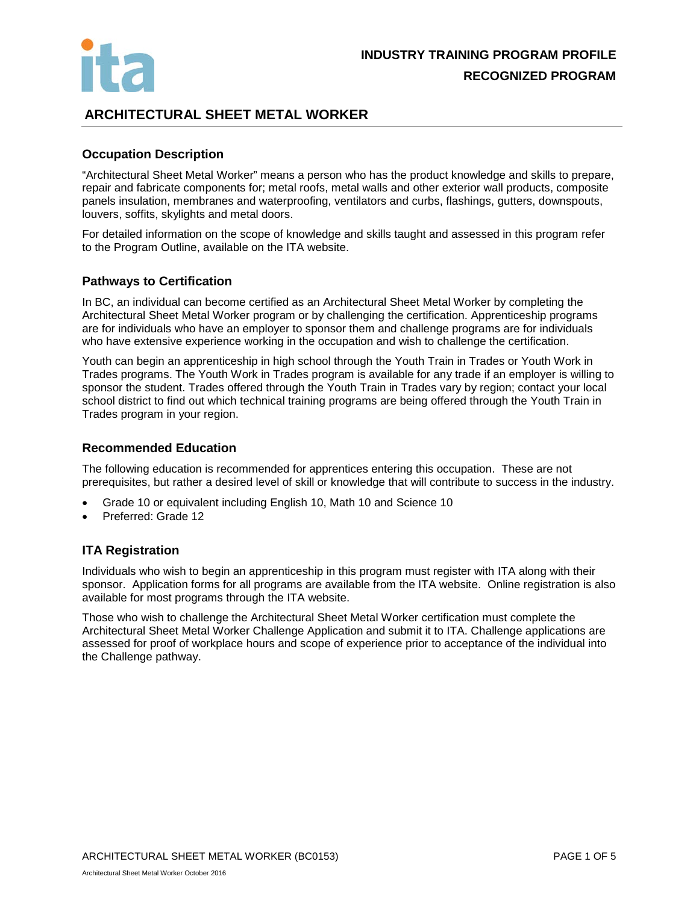

# **ARCHITECTURAL SHEET METAL WORKER**

## **Occupation Description**

"Architectural Sheet Metal Worker" means a person who has the product knowledge and skills to prepare, repair and fabricate components for; metal roofs, metal walls and other exterior wall products, composite panels insulation, membranes and waterproofing, ventilators and curbs, flashings, gutters, downspouts, louvers, soffits, skylights and metal doors.

For detailed information on the scope of knowledge and skills taught and assessed in this program refer to the Program Outline, available on the ITA website.

## **Pathways to Certification**

In BC, an individual can become certified as an Architectural Sheet Metal Worker by completing the Architectural Sheet Metal Worker program or by challenging the certification. Apprenticeship programs are for individuals who have an employer to sponsor them and challenge programs are for individuals who have extensive experience working in the occupation and wish to challenge the certification.

Youth can begin an apprenticeship in high school through the Youth Train in Trades or Youth Work in Trades programs. The Youth Work in Trades program is available for any trade if an employer is willing to sponsor the student. Trades offered through the Youth Train in Trades vary by region; contact your local school district to find out which technical training programs are being offered through the Youth Train in Trades program in your region.

## **Recommended Education**

The following education is recommended for apprentices entering this occupation. These are not prerequisites, but rather a desired level of skill or knowledge that will contribute to success in the industry.

- Grade 10 or equivalent including English 10, Math 10 and Science 10
- Preferred: Grade 12

## **ITA Registration**

Individuals who wish to begin an apprenticeship in this program must register with ITA along with their sponsor. Application forms for all programs are available from the ITA website. Online registration is also available for most programs through the ITA website.

Those who wish to challenge the Architectural Sheet Metal Worker certification must complete the Architectural Sheet Metal Worker Challenge Application and submit it to ITA. Challenge applications are assessed for proof of workplace hours and scope of experience prior to acceptance of the individual into the Challenge pathway.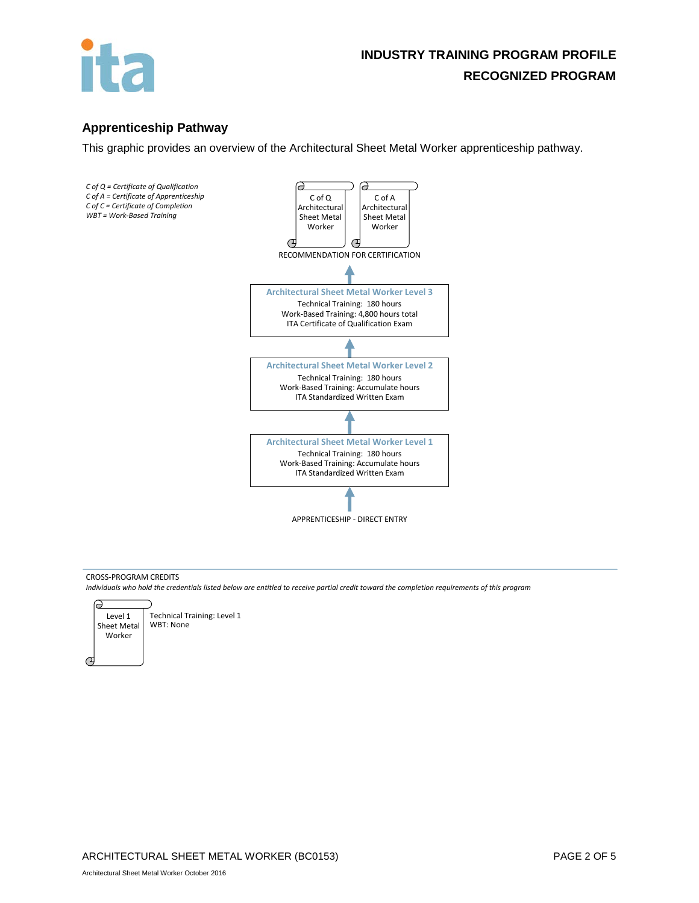

# **Apprenticeship Pathway**

This graphic provides an overview of the Architectural Sheet Metal Worker apprenticeship pathway.



### CROSS-PROGRAM CREDITS

*Individuals who hold the credentials listed below are entitled to receive partial credit toward the completion requirements of this program*



ARCHITECTURAL SHEET METAL WORKER (BC0153) PAGE 2 OF 5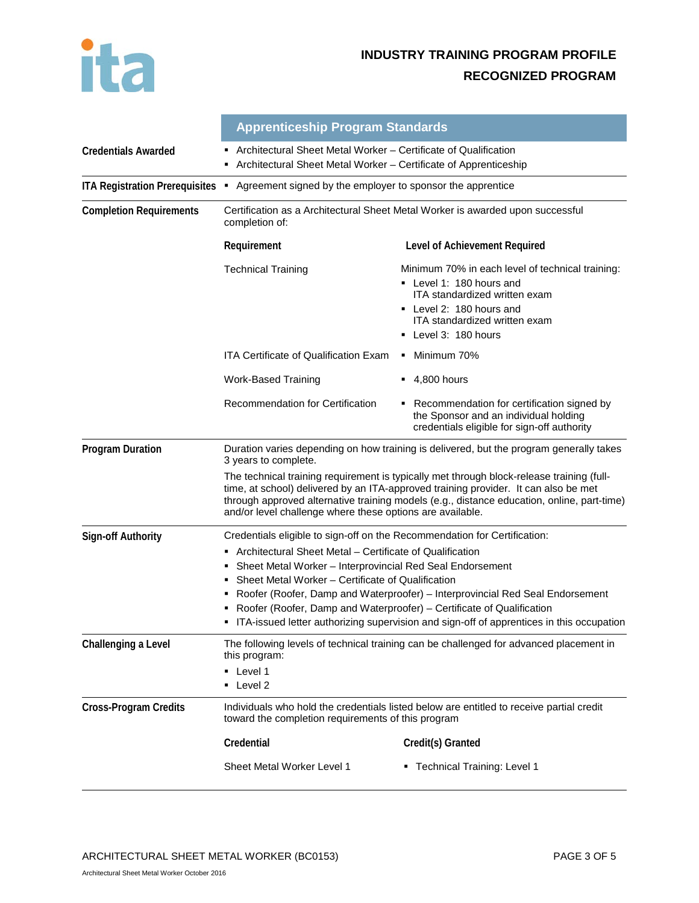

# **INDUSTRY TRAINING PROGRAM PROFILE RECOGNIZED PROGRAM**

|                                       | <b>Apprenticeship Program Standards</b>                                                                                                                                                                                                                                                                                                                                                                                          |                                                                                                                                                                                                                                                                                |  |  |  |
|---------------------------------------|----------------------------------------------------------------------------------------------------------------------------------------------------------------------------------------------------------------------------------------------------------------------------------------------------------------------------------------------------------------------------------------------------------------------------------|--------------------------------------------------------------------------------------------------------------------------------------------------------------------------------------------------------------------------------------------------------------------------------|--|--|--|
| <b>Credentials Awarded</b>            | Architectural Sheet Metal Worker – Certificate of Qualification<br>Architectural Sheet Metal Worker - Certificate of Apprenticeship                                                                                                                                                                                                                                                                                              |                                                                                                                                                                                                                                                                                |  |  |  |
| <b>ITA Registration Prerequisites</b> | Agreement signed by the employer to sponsor the apprentice<br>٠                                                                                                                                                                                                                                                                                                                                                                  |                                                                                                                                                                                                                                                                                |  |  |  |
| <b>Completion Requirements</b>        | Certification as a Architectural Sheet Metal Worker is awarded upon successful<br>completion of:                                                                                                                                                                                                                                                                                                                                 |                                                                                                                                                                                                                                                                                |  |  |  |
|                                       | Requirement                                                                                                                                                                                                                                                                                                                                                                                                                      | Level of Achievement Required                                                                                                                                                                                                                                                  |  |  |  |
|                                       | <b>Technical Training</b>                                                                                                                                                                                                                                                                                                                                                                                                        | Minimum 70% in each level of technical training:<br>• Level 1: 180 hours and<br>ITA standardized written exam<br>Level 2: 180 hours and<br><b>ITA</b> standardized written exam<br>Level 3: 180 hours                                                                          |  |  |  |
|                                       | <b>ITA Certificate of Qualification Exam</b>                                                                                                                                                                                                                                                                                                                                                                                     | Minimum 70%                                                                                                                                                                                                                                                                    |  |  |  |
|                                       | <b>Work-Based Training</b>                                                                                                                                                                                                                                                                                                                                                                                                       | 4,800 hours                                                                                                                                                                                                                                                                    |  |  |  |
|                                       | Recommendation for Certification                                                                                                                                                                                                                                                                                                                                                                                                 | Recommendation for certification signed by<br>the Sponsor and an individual holding<br>credentials eligible for sign-off authority                                                                                                                                             |  |  |  |
| <b>Program Duration</b>               | 3 years to complete.                                                                                                                                                                                                                                                                                                                                                                                                             | Duration varies depending on how training is delivered, but the program generally takes                                                                                                                                                                                        |  |  |  |
|                                       | and/or level challenge where these options are available.                                                                                                                                                                                                                                                                                                                                                                        | The technical training requirement is typically met through block-release training (full-<br>time, at school) delivered by an ITA-approved training provider. It can also be met<br>through approved alternative training models (e.g., distance education, online, part-time) |  |  |  |
| <b>Sign-off Authority</b>             | Credentials eligible to sign-off on the Recommendation for Certification:                                                                                                                                                                                                                                                                                                                                                        |                                                                                                                                                                                                                                                                                |  |  |  |
|                                       | Architectural Sheet Metal – Certificate of Qualification<br>Sheet Metal Worker - Interprovincial Red Seal Endorsement<br>Sheet Metal Worker – Certificate of Qualification<br>Roofer (Roofer, Damp and Waterproofer) - Interprovincial Red Seal Endorsement<br>Roofer (Roofer, Damp and Waterproofer) - Certificate of Qualification<br>ITA-issued letter authorizing supervision and sign-off of apprentices in this occupation |                                                                                                                                                                                                                                                                                |  |  |  |
| Challenging a Level                   | this program:<br>• Level 1<br>Level 2                                                                                                                                                                                                                                                                                                                                                                                            | The following levels of technical training can be challenged for advanced placement in                                                                                                                                                                                         |  |  |  |
| <b>Cross-Program Credits</b>          |                                                                                                                                                                                                                                                                                                                                                                                                                                  | Individuals who hold the credentials listed below are entitled to receive partial credit<br>toward the completion requirements of this program                                                                                                                                 |  |  |  |
|                                       | Credential                                                                                                                                                                                                                                                                                                                                                                                                                       | Credit(s) Granted                                                                                                                                                                                                                                                              |  |  |  |
|                                       | Sheet Metal Worker Level 1                                                                                                                                                                                                                                                                                                                                                                                                       | • Technical Training: Level 1                                                                                                                                                                                                                                                  |  |  |  |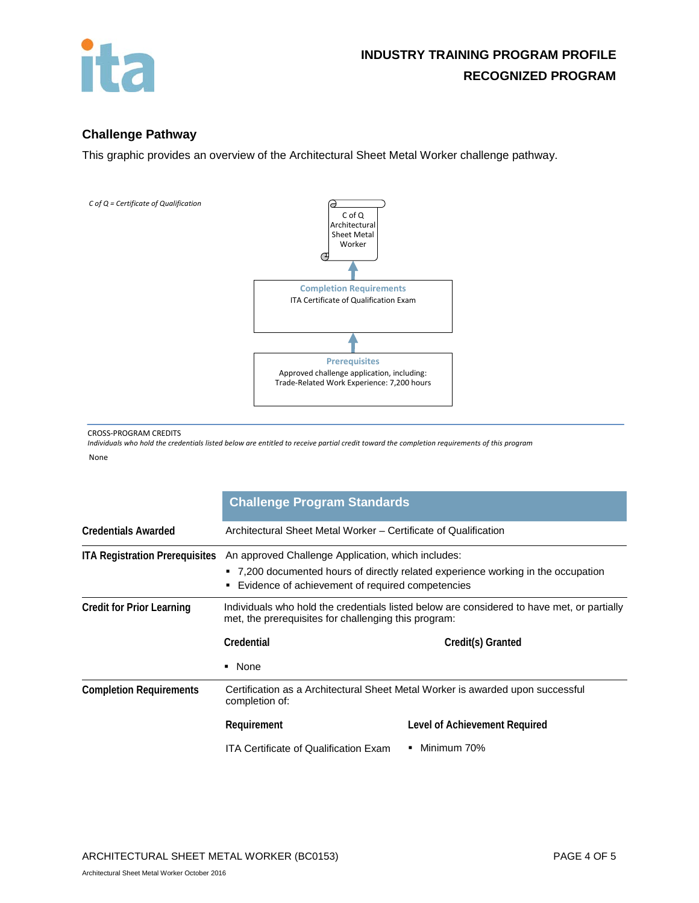

## **Challenge Pathway**

This graphic provides an overview of the Architectural Sheet Metal Worker challenge pathway.



#### CROSS-PROGRAM CREDITS

*Individuals who hold the credentials listed below are entitled to receive partial credit toward the completion requirements of this program* None

|                                       | <b>Challenge Program Standards</b>                                                                                                                                                          |                               |  |  |  |
|---------------------------------------|---------------------------------------------------------------------------------------------------------------------------------------------------------------------------------------------|-------------------------------|--|--|--|
| <b>Credentials Awarded</b>            | Architectural Sheet Metal Worker – Certificate of Qualification                                                                                                                             |                               |  |  |  |
| <b>ITA Registration Prerequisites</b> | An approved Challenge Application, which includes:<br>• 7,200 documented hours of directly related experience working in the occupation<br>Evidence of achievement of required competencies |                               |  |  |  |
| <b>Credit for Prior Learning</b>      | Individuals who hold the credentials listed below are considered to have met, or partially<br>met, the prerequisites for challenging this program:                                          |                               |  |  |  |
|                                       | Credential                                                                                                                                                                                  | Credit(s) Granted             |  |  |  |
|                                       | • None                                                                                                                                                                                      |                               |  |  |  |
| <b>Completion Requirements</b>        | Certification as a Architectural Sheet Metal Worker is awarded upon successful<br>completion of:                                                                                            |                               |  |  |  |
|                                       | Requirement                                                                                                                                                                                 | Level of Achievement Required |  |  |  |
|                                       | <b>ITA Certificate of Qualification Exam</b>                                                                                                                                                | • Minimum 70%                 |  |  |  |